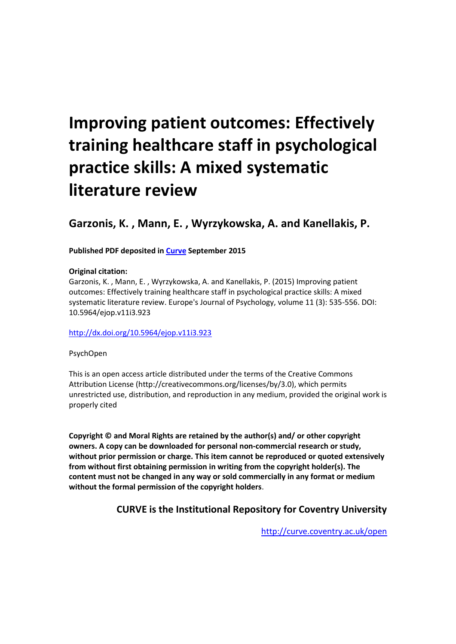# **Improving patient outcomes: Effectively training healthcare staff in psychological practice skills: A mixed systematic literature review**

**Garzonis, K. , Mann, E. , Wyrzykowska, A. and Kanellakis, P.**

**Published PDF deposited in [Curve](http://curve.coventry.ac.uk/open) September 2015**

#### **Original citation:**

Garzonis, K. , Mann, E. , Wyrzykowska, A. and Kanellakis, P. (2015) Improving patient outcomes: Effectively training healthcare staff in psychological practice skills: A mixed systematic literature review. Europe's Journal of Psychology, volume 11 (3): 535-556. DOI: 10.5964/ejop.v11i3.923

<http://dx.doi.org/10.5964/ejop.v11i3.923>

PsychOpen

This is an open access article distributed under the terms of the Creative Commons Attribution License (http://creativecommons.org/licenses/by/3.0), which permits unrestricted use, distribution, and reproduction in any medium, provided the original work is properly cited

**Copyright © and Moral Rights are retained by the author(s) and/ or other copyright owners. A copy can be downloaded for personal non-commercial research or study, without prior permission or charge. This item cannot be reproduced or quoted extensively from without first obtaining permission in writing from the copyright holder(s). The content must not be changed in any way or sold commercially in any format or medium without the formal permission of the copyright holders**.

**CURVE is the Institutional Repository for Coventry University**

<http://curve.coventry.ac.uk/open>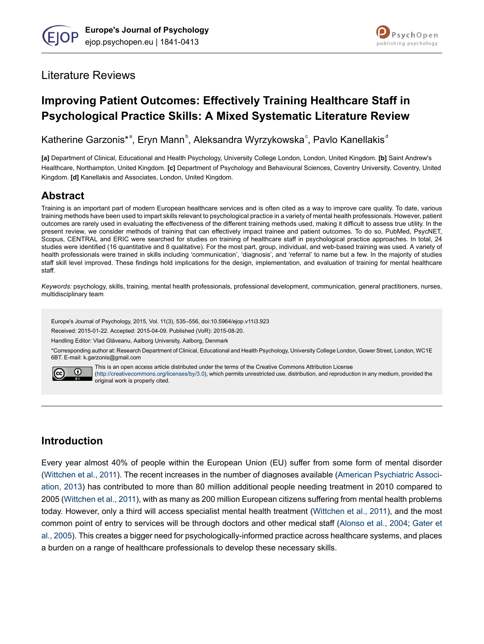

## Literature Reviews

# **Improving Patient Outcomes: Effectively Training Healthcare Staff in Psychological Practice Skills: A Mixed Systematic Literature Review**

Katherine Garzonis\*<sup>a</sup>, Eryn Mann<sup>b</sup>, Aleksandra Wyrzykowska<sup>c</sup>, Pavlo Kanellakis<sup>d</sup>

**[a]** Department of Clinical, Educational and Health Psychology, University College London, London, United Kingdom. **[b]** Saint Andrew's Healthcare, Northampton, United Kingdom. **[c]** Department of Psychology and Behavioural Sciences, Coventry University, Coventry, United Kingdom. **[d]** Kanellakis and Associates, London, United Kingdom.

# **Abstract**

Training is an important part of modern European healthcare services and is often cited as a way to improve care quality. To date, various training methods have been used to impart skills relevant to psychological practice in a variety of mental health professionals. However, patient outcomes are rarely used in evaluating the effectiveness of the different training methods used, making it difficult to assess true utility. In the present review, we consider methods of training that can effectively impact trainee and patient outcomes. To do so, PubMed, PsycNET, Scopus, CENTRAL and ERIC were searched for studies on training of healthcare staff in psychological practice approaches. In total, 24 studies were identified (16 quantitative and 8 qualitative). For the most part, group, individual, and web-based training was used. A variety of health professionals were trained in skills including 'communication', 'diagnosis', and 'referral' to name but a few. In the majority of studies staff skill level improved. These findings hold implications for the design, implementation, and evaluation of training for mental healthcare staff.

*Keywords:* psychology, skills, training, mental health professionals, professional development, communication, general practitioners, nurses, multidisciplinary team

Europe's Journal of Psychology, 2015, Vol. 11(3), 535–556, doi:10.5964/ejop.v11i3.923

Received: 2015-01-22. Accepted: 2015-04-09. Published (VoR): 2015-08-20.

Handling Editor: Vlad Glăveanu, Aalborg University, Aalborg, Denmark

original work is properly cited.

\*Corresponding author at: Research Department of Clinical, Educational and Health Psychology, University College London, Gower Street, London, WC1E 6BT. E-mail: k.garzonis@gmail.com



This is an open access article distributed under the terms of the Creative Commons Attribution License [\(http://creativecommons.org/licenses/by/3.0\)](http://creativecommons.org/licenses/by/3.0), which permits unrestricted use, distribution, and reproduction in any medium, provided the

## **Introduction**

Every year almost 40% of people within the European Union (EU) suffer from some form of mental disorder [\(Wittchen](#page-19-0) et al., 2011). The recent increases in the number of diagnoses available (American [Psychiatric](#page-15-0) Associ[ation,](#page-15-0) 2013) has contributed to more than 80 million additional people needing treatment in 2010 compared to 2005 ([Wittchen](#page-19-0) et al., 2011), with as many as 200 million European citizens suffering from mental health problems today. However, only a third will access specialist mental health treatment [\(Wittchen](#page-19-0) et al., 2011), and the most common point of entry to services will be through doctors and other medical staff [\(Alonso](#page-15-1) et al., 2004; [Gater](#page-17-0) et al., [2005](#page-17-0)). This creates a bigger need for psychologically-informed practice across healthcare systems, and places a burden on a range of healthcare professionals to develop these necessary skills.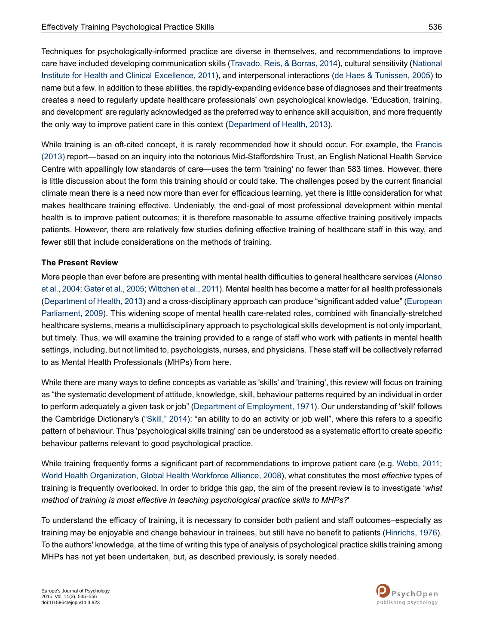Techniques for psychologically-informed practice are diverse in themselves, and recommendations to improve care have included developing communication skills ([Travado,](#page-19-1) Reis, & Borras, 2014), cultural sensitivity ([National](#page-18-0) Institute for Health and Clinical [Excellence,](#page-18-0) 2011), and interpersonal interactions (de Haes & [Tunissen,](#page-16-0) 2005) to name but a few. In addition to these abilities, the rapidly-expanding evidence base of diagnoses and their treatments creates a need to regularly update healthcare professionals' own psychological knowledge. 'Education, training, and development' are regularly acknowledged as the preferred way to enhance skill acquisition, and more frequently the only way to improve patient care in this context ([Department](#page-16-1) of Health, 2013).

While training is an oft-cited concept, it is rarely recommended how it should occur. For example, the [Francis](#page-17-1) [\(2013\)](#page-17-1) report—based on an inquiry into the notorious Mid-Staffordshire Trust, an English National Health Service Centre with appallingly low standards of care—uses the term 'training' no fewer than 583 times. However, there is little discussion about the form this training should or could take. The challenges posed by the current financial climate mean there is a need now more than ever for efficacious learning, yet there is little consideration for what makes healthcare training effective. Undeniably, the end-goal of most professional development within mental health is to improve patient outcomes; it is therefore reasonable to assume effective training positively impacts patients. However, there are relatively few studies defining effective training of healthcare staff in this way, and fewer still that include considerations on the methods of training.

#### **The Present Review**

More people than ever before are presenting with mental health difficulties to general healthcare services ([Alonso](#page-15-1) et al., [2004;](#page-15-1) [Gater](#page-17-0) et al., 2005; [Wittchen](#page-19-0) et al., 2011). Mental health has become a matter for all health professionals [\(Department](#page-16-1) of Health, 2013) and a cross-disciplinary approach can produce "significant added value" ([European](#page-16-2) [Parliament,](#page-16-2) 2009). This widening scope of mental health care-related roles, combined with financially-stretched healthcare systems, means a multidisciplinary approach to psychological skills development is not only important, but timely. Thus, we will examine the training provided to a range of staff who work with patients in mental health settings, including, but not limited to, psychologists, nurses, and physicians. These staff will be collectively referred to as Mental Health Professionals (MHPs) from here.

While there are many ways to define concepts as variable as 'skills' and 'training', this review will focus on training as "the systematic development of attitude, knowledge, skill, behaviour patterns required by an individual in order to perform adequately a given task or job" (Department of [Employment,](#page-16-3) 1971). Our understanding of 'skill' follows the Cambridge Dictionary's (["Skill,"](#page-18-1) 2014): "an ability to do an activity or job well", where this refers to a specific pattern of behaviour. Thus 'psychological skills training' can be understood as a systematic effort to create specific behaviour patterns relevant to good psychological practice.

While training frequently forms a significant part of recommendations to improve patient care (e.g. [Webb,](#page-19-2) 2011; World Health [Organization,](#page-19-3) Global Health Workforce Alliance, 2008), what constitutes the most *effective* types of training is frequently overlooked. In order to bridge this gap, the aim of the present review is to investigate '*what method of training is most effective in teaching psychological practice skills to MHPs?*'

To understand the efficacy of training, it is necessary to consider both patient and staff outcomes–especially as training may be enjoyable and change behaviour in trainees, but still have no benefit to patients ([Hinrichs,](#page-17-2) 1976). To the authors' knowledge, at the time of writing this type of analysis of psychological practice skills training among MHPs has not yet been undertaken, but, as described previously, is sorely needed.

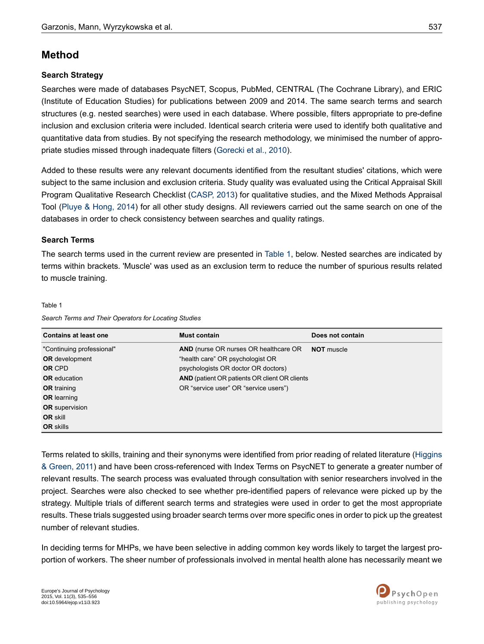# **Method**

## **Search Strategy**

Searches were made of databases PsycNET, Scopus, PubMed, CENTRAL (The Cochrane Library), and ERIC (Institute of Education Studies) for publications between 2009 and 2014. The same search terms and search structures (e.g. nested searches) were used in each database. Where possible, filters appropriate to pre-define inclusion and exclusion criteria were included. Identical search criteria were used to identify both qualitative and quantitative data from studies. By not specifying the research methodology, we minimised the number of appropriate studies missed through inadequate filters ([Gorecki](#page-17-3) et al., 2010).

Added to these results were any relevant documents identified from the resultant studies' citations, which were subject to the same inclusion and exclusion criteria. Study quality was evaluated using the Critical Appraisal Skill Program Qualitative Research Checklist [\(CASP,](#page-16-4) 2013) for qualitative studies, and the Mixed Methods Appraisal Tool (Pluye & [Hong,](#page-18-2) 2014) for all other study designs. All reviewers carried out the same search on one of the databases in order to check consistency between searches and quality ratings.

## **Search Terms**

<span id="page-3-0"></span>The search terms used in the current review are presented in [Table](#page-3-0) 1, below. Nested searches are indicated by terms within brackets. 'Muscle' was used as an exclusion term to reduce the number of spurious results related to muscle training.

#### Table 1

|  | Search Terms and Their Operators for Locating Studies |  |
|--|-------------------------------------------------------|--|
|  |                                                       |  |

| <b>Contains at least one</b> | <b>Must contain</b>                                   | Does not contain  |
|------------------------------|-------------------------------------------------------|-------------------|
| "Continuing professional"    | AND (nurse OR nurses OR healthcare OR                 | <b>NOT</b> muscle |
| <b>OR</b> development        | "health care" OR psychologist OR                      |                   |
| OR CPD                       | psychologists OR doctor OR doctors)                   |                   |
| <b>OR</b> education          | <b>AND</b> (patient OR patients OR client OR clients) |                   |
| <b>OR</b> training           | OR "service user" OR "service users")                 |                   |
| <b>OR</b> learning           |                                                       |                   |
| <b>OR</b> supervision        |                                                       |                   |
| <b>OR skill</b>              |                                                       |                   |
| <b>OR skills</b>             |                                                       |                   |

Terms related to skills, training and their synonyms were identified from prior reading of related literature ([Higgins](#page-17-4) & [Green,](#page-17-4) 2011) and have been cross-referenced with Index Terms on PsycNET to generate a greater number of relevant results. The search process was evaluated through consultation with senior researchers involved in the project. Searches were also checked to see whether pre-identified papers of relevance were picked up by the strategy. Multiple trials of different search terms and strategies were used in order to get the most appropriate results. These trials suggested using broader search terms over more specific ones in order to pick up the greatest number of relevant studies.

In deciding terms for MHPs, we have been selective in adding common key words likely to target the largest proportion of workers. The sheer number of professionals involved in mental health alone has necessarily meant we

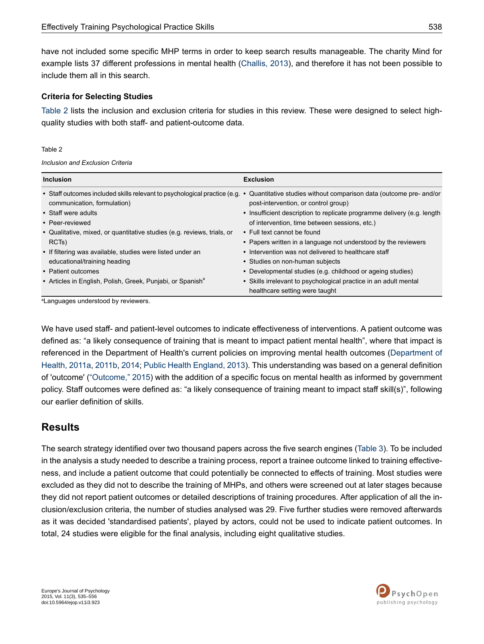have not included some specific MHP terms in order to keep search results manageable. The charity Mind for example lists 37 different professions in mental health ([Challis,](#page-16-5) 2013), and therefore it has not been possible to include them all in this search.

## **Criteria for Selecting Studies**

[Table](#page-4-0) 2 lists the inclusion and exclusion criteria for studies in this review. These were designed to select highquality studies with both staff- and patient-outcome data.

#### <span id="page-4-0"></span>Table 2

#### *Inclusion and Exclusion Criteria*

| <b>Inclusion</b>                                                          | <b>Exclusion</b>                                                                                   |
|---------------------------------------------------------------------------|----------------------------------------------------------------------------------------------------|
| • Staff outcomes included skills relevant to psychological practice (e.g. | Quantitative studies without comparison data (outcome pre- and/or                                  |
| communication, formulation)                                               | post-intervention, or control group)                                                               |
| • Staff were adults                                                       | • Insufficient description to replicate programme delivery (e.g. length                            |
| • Peer-reviewed                                                           | of intervention, time between sessions, etc.)                                                      |
| • Qualitative, mixed, or quantitative studies (e.g. reviews, trials, or   | • Full text cannot be found                                                                        |
| RCT <sub>s</sub> )                                                        | • Papers written in a language not understood by the reviewers                                     |
| • If filtering was available, studies were listed under an                | • Intervention was not delivered to healthcare staff                                               |
| educational/training heading                                              | • Studies on non-human subjects                                                                    |
| • Patient outcomes                                                        | • Developmental studies (e.g. childhood or ageing studies)                                         |
| • Articles in English, Polish, Greek, Punjabi, or Spanish <sup>®</sup>    | • Skills irrelevant to psychological practice in an adult mental<br>healthcare setting were taught |

<sup>a</sup>Languages understood by reviewers.

We have used staff- and patient-level outcomes to indicate effectiveness of interventions. A patient outcome was defined as: "a likely consequence of training that is meant to impact patient mental health", where that impact is referenced in the Department of Health's current policies on improving mental health outcomes ([Department](#page-16-6) of [Health,](#page-16-6) 2011a, [2011b](#page-16-7), [2014;](#page-16-8) Public Health [England,](#page-18-3) 2013). This understanding was based on a general definition of 'outcome' [\("Outcome,"](#page-18-4) 2015) with the addition of a specific focus on mental health as informed by government policy. Staff outcomes were defined as: "a likely consequence of training meant to impact staff skill(s)", following our earlier definition of skills.

## **Results**

The search strategy identified over two thousand papers across the five search engines ([Table](#page-5-0) 3). To be included in the analysis a study needed to describe a training process, report a trainee outcome linked to training effectiveness, and include a patient outcome that could potentially be connected to effects of training. Most studies were excluded as they did not to describe the training of MHPs, and others were screened out at later stages because they did not report patient outcomes or detailed descriptions of training procedures. After application of all the inclusion/exclusion criteria, the number of studies analysed was 29. Five further studies were removed afterwards as it was decided 'standardised patients', played by actors, could not be used to indicate patient outcomes. In total, 24 studies were eligible for the final analysis, including eight qualitative studies.

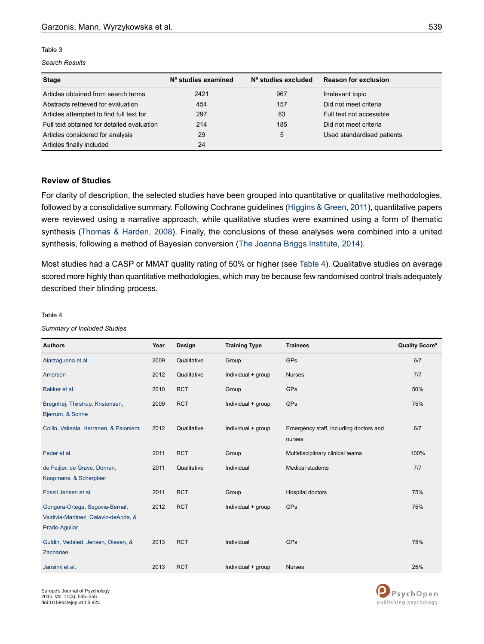#### <span id="page-5-0"></span>Table 3

#### *Search Results*

| <b>Stage</b>                               | N° studies examined | N° studies excluded | <b>Reason for exclusion</b> |
|--------------------------------------------|---------------------|---------------------|-----------------------------|
| Articles obtained from search terms        | 2421                | 967                 | Irrelevant topic            |
| Abstracts retrieved for evaluation         | 454                 | 157                 | Did not meet criteria       |
| Articles attempted to find full text for   | 297                 | 83                  | Full text not accessible    |
| Full text obtained for detailed evaluation | 214                 | 185                 | Did not meet criteria       |
| Articles considered for analysis           | 29                  | 5                   | Used standardised patients  |
| Articles finally included                  | 24                  |                     |                             |

#### **Review of Studies**

For clarity of description, the selected studies have been grouped into quantitative or qualitative methodologies, followed by a consolidative summary. Following Cochrane guidelines ([Higgins](#page-17-4) & Green, 2011), quantitative papers were reviewed using a narrative approach, while qualitative studies were examined using a form of thematic synthesis ([Thomas](#page-19-4) & Harden, 2008). Finally, the conclusions of these analyses were combined into a united synthesis, following a method of Bayesian conversion (The Joanna Briggs [Institute,](#page-17-5) 2014).

<span id="page-5-1"></span>Most studies had a CASP or MMAT quality rating of 50% or higher (see [Table](#page-5-1) 4). Qualitative studies on average scored more highly than quantitative methodologies, which may be because few randomised control trials adequately described their blinding process.

Table 4

*Summary of Included Studies*

| <b>Authors</b>                                                                           | Year | Design      | <b>Training Type</b> | <b>Trainees</b>                                  | <b>Quality Score<sup>a</sup></b> |
|------------------------------------------------------------------------------------------|------|-------------|----------------------|--------------------------------------------------|----------------------------------|
| Aiarzaguena et al.                                                                       | 2009 | Qualitative | Group                | <b>GPs</b>                                       | 6/7                              |
| Amerson                                                                                  | 2012 | Qualitative | Individual + group   | <b>Nurses</b>                                    | 7/7                              |
| Bakker et al.                                                                            | 2010 | <b>RCT</b>  | Group                | GPs                                              | 50%                              |
| Bregnhøj, Thirstrup, Kristensen,<br>Bjerrum, & Sonne                                     | 2009 | <b>RCT</b>  | Individual + group   | <b>GPs</b>                                       | 75%                              |
| Collin, Valleala, Herranen, & Paloniemi                                                  | 2012 | Qualitative | Individual + group   | Emergency staff, including doctors and<br>nurses | 6/7                              |
| Feder et al.                                                                             | 2011 | <b>RCT</b>  | Group                | Multidisciplinary clinical teams                 | 100%                             |
| de Feijter, de Grave, Dornan,<br>Koopmans, & Scherpbier                                  | 2011 | Qualitative | Individual           | <b>Medical students</b>                          | 7/7                              |
| Fossli Jensen et al.                                                                     | 2011 | <b>RCT</b>  | Group                | Hospital doctors                                 | 75%                              |
| Gongora-Ortega, Segovia-Bernal,<br>Valdivia-Martinez, Galaviz-deAnda, &<br>Prado-Aguilar | 2012 | <b>RCT</b>  | Individual + group   | GPs                                              | 75%                              |
| Guldin, Vedsted, Jensen, Olesen, &<br>Zachariae                                          | 2013 | <b>RCT</b>  | Individual           | <b>GPs</b>                                       | 75%                              |
| Jansink et al.                                                                           | 2013 | <b>RCT</b>  | Individual + group   | <b>Nurses</b>                                    | 25%                              |



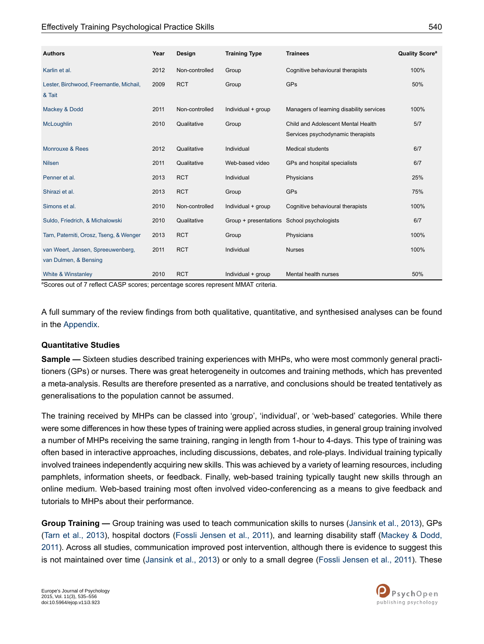| <b>Authors</b>                                             | Year | Design         | <b>Training Type</b>  | <b>Trainees</b>                                                         | <b>Quality Score<sup>a</sup></b> |
|------------------------------------------------------------|------|----------------|-----------------------|-------------------------------------------------------------------------|----------------------------------|
| Karlin et al.                                              | 2012 | Non-controlled | Group                 | Cognitive behavioural therapists                                        | 100%                             |
| Lester, Birchwood, Freemantle, Michail,<br>& Tait          | 2009 | <b>RCT</b>     | Group                 | <b>GPs</b>                                                              | 50%                              |
| Mackey & Dodd                                              | 2011 | Non-controlled | Individual + group    | Managers of learning disability services                                | 100%                             |
| <b>McLoughlin</b>                                          | 2010 | Qualitative    | Group                 | Child and Adolescent Mental Health<br>Services psychodynamic therapists | 5/7                              |
| Monrouxe & Rees                                            | 2012 | Qualitative    | Individual            | <b>Medical students</b>                                                 | 6/7                              |
| <b>Nilsen</b>                                              | 2011 | Qualitative    | Web-based video       | GPs and hospital specialists                                            | 6/7                              |
| Penner et al.                                              | 2013 | <b>RCT</b>     | Individual            | Physicians                                                              | 25%                              |
| Shirazi et al.                                             | 2013 | <b>RCT</b>     | Group                 | <b>GPs</b>                                                              | 75%                              |
| Simons et al.                                              | 2010 | Non-controlled | Individual + group    | Cognitive behavioural therapists                                        | 100%                             |
| Suldo, Friedrich, & Michalowski                            | 2010 | Qualitative    | Group + presentations | School psychologists                                                    | 6/7                              |
| Tarn, Paterniti, Orosz, Tseng, & Wenger                    | 2013 | <b>RCT</b>     | Group                 | Physicians                                                              | 100%                             |
| van Weert, Jansen, Spreeuwenberg,<br>van Dulmen, & Bensing | 2011 | <b>RCT</b>     | Individual            | <b>Nurses</b>                                                           | 100%                             |
| <b>White &amp; Winstanley</b>                              | 2010 | <b>RCT</b>     | Individual + group    | Mental health nurses                                                    | 50%                              |

<sup>a</sup>Scores out of 7 reflect CASP scores; percentage scores represent MMAT criteria.

A full summary of the review findings from both qualitative, quantitative, and synthesised analyses can be found in the [Appendix.](#page-20-0)

#### **Quantitative Studies**

**Sample —** Sixteen studies described training experiences with MHPs, who were most commonly general practitioners (GPs) or nurses. There was great heterogeneity in outcomes and training methods, which has prevented a meta-analysis. Results are therefore presented as a narrative, and conclusions should be treated tentatively as generalisations to the population cannot be assumed.

The training received by MHPs can be classed into 'group', 'individual', or 'web-based' categories. While there were some differences in how these types of training were applied across studies, in general group training involved a number of MHPs receiving the same training, ranging in length from 1-hour to 4-days. This type of training was often based in interactive approaches, including discussions, debates, and role-plays. Individual training typically involved trainees independently acquiring new skills. This was achieved by a variety of learning resources, including pamphlets, information sheets, or feedback. Finally, web-based training typically taught new skills through an online medium. Web-based training most often involved video-conferencing as a means to give feedback and tutorials to MHPs about their performance.

**Group Training —** Group training was used to teach communication skills to nurses ([Jansink](#page-17-10) et al., 2013), GPs (Tarn et al., [2013\)](#page-18-13), hospital doctors (Fossli [Jensen](#page-17-7) et al., 2011), and learning disability staff [\(Mackey](#page-18-5) & Dodd, [2011\)](#page-18-5). Across all studies, communication improved post intervention, although there is evidence to suggest this is not maintained over time [\(Jansink](#page-17-10) et al., 2013) or only to a small degree (Fossli [Jensen](#page-17-7) et al., 2011). These

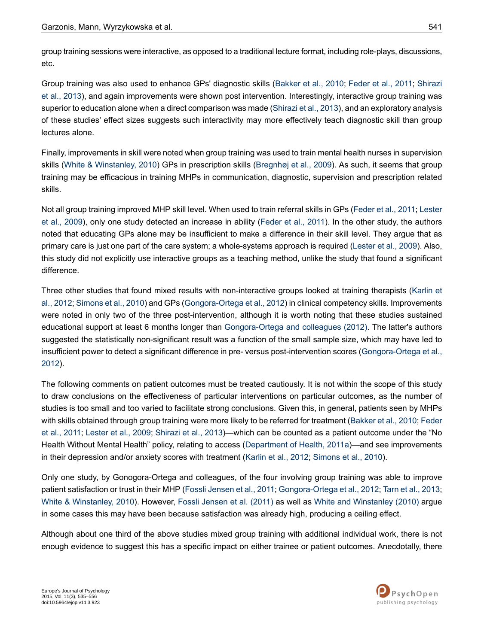group training sessions were interactive, as opposed to a traditional lecture format, including role-plays, discussions, etc.

Group training was also used to enhance GPs' diagnostic skills ([Bakker](#page-15-4) et al., 2010; [Feder](#page-17-6) et al., 2011; [Shirazi](#page-18-10) et al., [2013](#page-18-10)), and again improvements were shown post intervention. Interestingly, interactive group training was superior to education alone when a direct comparison was made (Shirazi et al., 2013), and an exploratory analysis of these studies' effect sizes suggests such interactivity may more effectively teach diagnostic skill than group lectures alone.

Finally, improvements in skill were noted when group training was used to train mental health nurses in supervision skills (White & [Winstanley,](#page-19-6) 2010) GPs in prescription skills [\(Bregnhøj](#page-16-9) et al., 2009). As such, it seems that group training may be efficacious in training MHPs in communication, diagnostic, supervision and prescription related skills.

Not all group training improved MHP skill level. When used to train referral skills in GPs [\(Feder](#page-17-6) et al., 2011; [Lester](#page-17-12) et al., [2009\)](#page-17-12), only one study detected an increase in ability ([Feder](#page-17-6) et al., 2011). In the other study, the authors noted that educating GPs alone may be insufficient to make a difference in their skill level. They argue that as primary care is just one part of the care system; a whole-systems approach is required [\(Lester](#page-17-12) et al., 2009). Also, this study did not explicitly use interactive groups as a teaching method, unlike the study that found a significant difference.

Three other studies that found mixed results with non-interactive groups looked at training therapists [\(Karlin](#page-17-11) et al., [2012;](#page-17-11) [Simons](#page-18-11) et al., 2010) and GPs [\(Gongora-Ortega](#page-17-8) et al., 2012) in clinical competency skills. Improvements were noted in only two of the three post-intervention, although it is worth noting that these studies sustained educational support at least 6 months longer than [Gongora-Ortega](#page-17-8) and colleagues (2012). The latter's authors suggested the statistically non-significant result was a function of the small sample size, which may have led to insufficient power to detect a significant difference in pre- versus post-intervention scores [\(Gongora-Ortega](#page-17-8) et al., [2012](#page-17-8)).

The following comments on patient outcomes must be treated cautiously. It is not within the scope of this study to draw conclusions on the effectiveness of particular interventions on particular outcomes, as the number of studies is too small and too varied to facilitate strong conclusions. Given this, in general, patients seen by MHPs with skills obtained through group training were more likely to be referred for treatment [\(Bakker](#page-15-4) et al., 2010; [Feder](#page-17-6) et al., [2011;](#page-17-6) [Lester](#page-17-12) et al., 2009; [Shirazi](#page-18-10) et al., 2013)—which can be counted as a patient outcome under the "No Health Without Mental Health" policy, relating to access ([Department](#page-16-6) of Health, 2011a)—and see improvements in their depression and/or anxiety scores with treatment [\(Karlin](#page-17-11) et al., 2012; [Simons](#page-18-11) et al., 2010).

Only one study, by Gonogora-Ortega and colleagues, of the four involving group training was able to improve patient satisfaction or trust in their MHP (Fossli [Jensen](#page-17-7) et al., 2011; [Gongora-Ortega](#page-17-8) et al., 2012; Tarn et al., [2013](#page-18-13); White & [Winstanley,](#page-19-6) 2010). However, Fossli [Jensen](#page-17-7) et al. (2011) as well as White and [Winstanley](#page-19-6) (2010) argue in some cases this may have been because satisfaction was already high, producing a ceiling effect.

Although about one third of the above studies mixed group training with additional individual work, there is not enough evidence to suggest this has a specific impact on either trainee or patient outcomes. Anecdotally, there

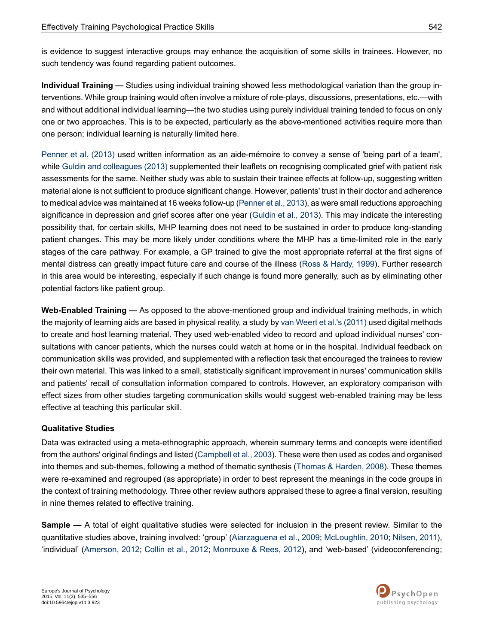is evidence to suggest interactive groups may enhance the acquisition of some skills in trainees. However, no such tendency was found regarding patient outcomes.

**Individual Training —** Studies using individual training showed less methodological variation than the group interventions. While group training would often involve a mixture of role-plays, discussions, presentations, etc.—with and without additional individual learning—the two studies using purely individual training tended to focus on only one or two approaches. This is to be expected, particularly as the above-mentioned activities require more than one person; individual learning is naturally limited here.

[Penner](#page-18-9) et al. (2013) used written information as an aide-mémoire to convey a sense of 'being part of a team', while Guldin and [colleagues](#page-17-9) (2013) supplemented their leaflets on recognising complicated grief with patient risk assessments for the same. Neither study was able to sustain their trainee effects at follow-up, suggesting written material alone is not sufficient to produce significant change. However, patients' trust in their doctor and adherence to medical advice was maintained at 16 weeks follow-up (Penner et al., 2013), as were small reductions approaching significance in depression and grief scores after one year [\(Guldin](#page-17-9) et al., 2013). This may indicate the interesting possibility that, for certain skills, MHP learning does not need to be sustained in order to produce long-standing patient changes. This may be more likely under conditions where the MHP has a time-limited role in the early stages of the care pathway. For example, a GP trained to give the most appropriate referral at the first signs of mental distress can greatly impact future care and course of the illness (Ross & [Hardy,](#page-18-14) 1999). Further research in this area would be interesting, especially if such change is found more generally, such as by eliminating other potential factors like patient group.

**Web-Enabled Training —** As opposed to the above-mentioned group and individual training methods, in which the majority of learning aids are based in physical reality, a study by van Weert et al.'s [\(2011\)](#page-19-5) used digital methods to create and host learning material. They used web-enabled video to record and upload individual nurses' consultations with cancer patients, which the nurses could watch at home or in the hospital. Individual feedback on communication skills was provided, and supplemented with a reflection task that encouraged the trainees to review their own material. This was linked to a small, statistically significant improvement in nurses' communication skills and patients' recall of consultation information compared to controls. However, an exploratory comparison with effect sizes from other studies targeting communication skills would suggest web-enabled training may be less effective at teaching this particular skill.

#### **Qualitative Studies**

Data was extracted using a meta-ethnographic approach, wherein summary terms and concepts were identified from the authors' original findings and listed [\(Campbell](#page-16-12) et al., 2003). These were then used as codes and organised into themes and sub-themes, following a method of thematic synthesis ([Thomas](#page-19-4) & Harden, 2008). These themes were re-examined and regrouped (as appropriate) in order to best represent the meanings in the code groups in the context of training methodology. Three other review authors appraised these to agree a final version, resulting in nine themes related to effective training.

**Sample** — A total of eight qualitative studies were selected for inclusion in the present review. Similar to the quantitative studies above, training involved: 'group' ([Aiarzaguena](#page-15-2) et al., 2009; [McLoughlin,](#page-18-6) 2010; [Nilsen,](#page-18-8) 2011), 'individual' ([Amerson,](#page-15-3) 2012; [Collin](#page-16-10) et al., 2012; [Monrouxe](#page-18-7) & Rees, 2012), and 'web-based' (videoconferencing;

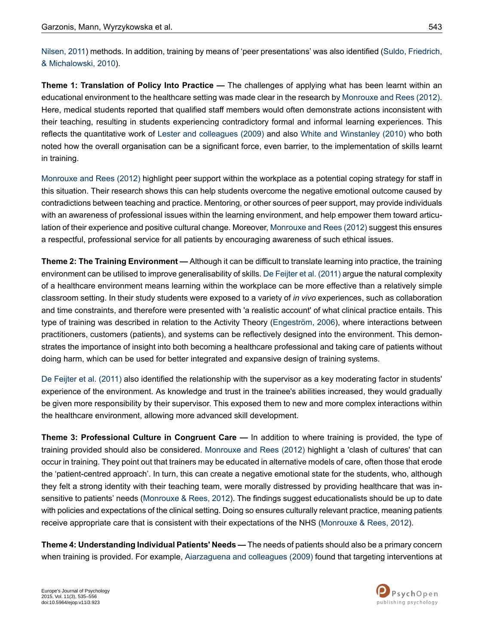[Nilsen,](#page-18-8) 2011) methods. In addition, training by means of 'peer presentations' was also identified (Suldo, [Friedrich,](#page-18-12) & [Michalowski,](#page-18-12) 2010).

**Theme 1: Translation of Policy Into Practice —** The challenges of applying what has been learnt within an educational environment to the healthcare setting was made clear in the research by [Monrouxe](#page-18-7) and Rees (2012). Here, medical students reported that qualified staff members would often demonstrate actions inconsistent with their teaching, resulting in students experiencing contradictory formal and informal learning experiences. This reflects the quantitative work of Lester and [colleagues](#page-17-12) (2009) and also White and [Winstanley](#page-19-6) (2010) who both noted how the overall organisation can be a significant force, even barrier, to the implementation of skills learnt in training.

[Monrouxe](#page-18-7) and Rees (2012) highlight peer support within the workplace as a potential coping strategy for staff in this situation. Their research shows this can help students overcome the negative emotional outcome caused by contradictions between teaching and practice. Mentoring, or other sources of peer support, may provide individuals with an awareness of professional issues within the learning environment, and help empower them toward articulation of their experience and positive cultural change. Moreover, [Monrouxe](#page-18-7) and Rees (2012) suggest this ensures a respectful, professional service for all patients by encouraging awareness of such ethical issues.

**Theme 2: The Training Environment —** Although it can be difficult to translate learning into practice, the training environment can be utilised to improve generalisability of skills. De [Feijter](#page-16-11) et al. (2011) argue the natural complexity of a healthcare environment means learning within the workplace can be more effective than a relatively simple classroom setting. In their study students were exposed to a variety of *in vivo* experiences, such as collaboration and time constraints, and therefore were presented with 'a realistic account' of what clinical practice entails. This type of training was described in relation to the Activity Theory ([Engeström,](#page-16-13) 2006), where interactions between practitioners, customers (patients), and systems can be reflectively designed into the environment. This demonstrates the importance of insight into both becoming a healthcare professional and taking care of patients without doing harm, which can be used for better integrated and expansive design of training systems.

De Feijter et al. [\(2011\)](#page-16-11) also identified the relationship with the supervisor as a key moderating factor in students' experience of the environment. As knowledge and trust in the trainee's abilities increased, they would gradually be given more responsibility by their supervisor. This exposed them to new and more complex interactions within the healthcare environment, allowing more advanced skill development.

**Theme 3: Professional Culture in Congruent Care —** In addition to where training is provided, the type of training provided should also be considered. [Monrouxe](#page-18-7) and Rees (2012) highlight a 'clash of cultures' that can occur in training. They point out that trainers may be educated in alternative models of care, often those that erode the 'patient-centred approach'. In turn, this can create a negative emotional state for the students, who, although they felt a strong identity with their teaching team, were morally distressed by providing healthcare that was insensitive to patients' needs [\(Monrouxe](#page-18-7) & Rees, 2012). The findings suggest educationalists should be up to date with policies and expectations of the clinical setting. Doing so ensures culturally relevant practice, meaning patients receive appropriate care that is consistent with their expectations of the NHS [\(Monrouxe](#page-18-7) & Rees, 2012).

**Theme4: Understanding Individual Patients' Needs —** Theneedsofpatients shouldalsobeaprimary concern when training is provided. For example, [Aiarzaguena](#page-15-2) and colleagues (2009) found that targeting interventions at

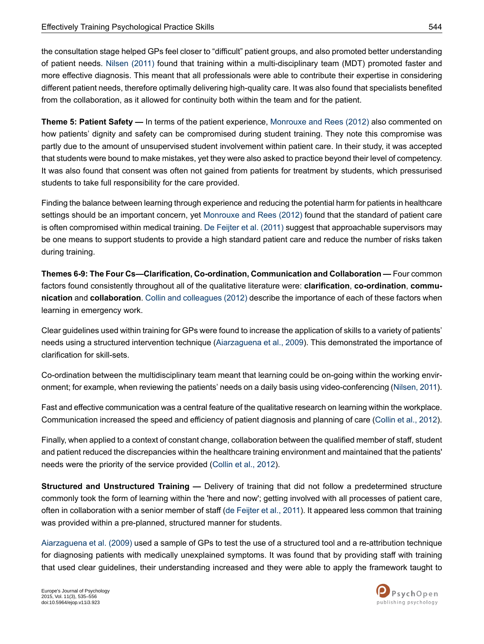the consultation stage helped GPs feel closer to "difficult" patient groups, and also promoted better understanding of patient needs. Nilsen [\(2011\)](#page-18-8) found that training within a multi-disciplinary team (MDT) promoted faster and more effective diagnosis. This meant that all professionals were able to contribute their expertise in considering different patient needs, therefore optimally delivering high-quality care. It was also found that specialists benefited from the collaboration, as it allowed for continuity both within the team and for the patient.

**Theme 5: Patient Safety —** In terms of the patient experience, [Monrouxe](#page-18-7) and Rees (2012) also commented on how patients' dignity and safety can be compromised during student training. They note this compromise was partly due to the amount of unsupervised student involvement within patient care. In their study, it was accepted that students were bound to make mistakes, yet they were also asked to practice beyond their level of competency. It was also found that consent was often not gained from patients for treatment by students, which pressurised students to take full responsibility for the care provided.

Finding the balance between learning through experience and reducing the potential harm for patients in healthcare settings should be an important concern, yet [Monrouxe](#page-18-7) and Rees (2012) found that the standard of patient care is often compromised within medical training. De Feijter et al. [\(2011\)](#page-16-11) suggest that approachable supervisors may be one means to support students to provide a high standard patient care and reduce the number of risks taken during training.

**Themes6-9: The Four Cs—Clarification, Co-ordination, Communication and Collaboration —** Four common factors found consistently throughout all of the qualitative literature were: **clarification**, **co-ordination**, **communication** and **collaboration**. Collin and [colleagues](#page-16-10) (2012) describe the importance of each of these factors when learning in emergency work.

Clear guidelines used within training for GPs were found to increase the application of skills to a variety of patients' needs using a structured intervention technique ([Aiarzaguena](#page-15-2) et al., 2009). This demonstrated the importance of clarification for skill-sets.

Co-ordination between the multidisciplinary team meant that learning could be on-going within the working environment; for example, when reviewing the patients' needs on a daily basis using video-conferencing [\(Nilsen,](#page-18-8) 2011).

Fast and effective communication was a central feature of the qualitative research on learning within the workplace. Communication increased the speed and efficiency of patient diagnosis and planning of care ([Collin](#page-16-10) et al., 2012).

Finally, when applied to a context of constant change, collaboration between the qualified member of staff, student and patient reduced the discrepancies within the healthcare training environment and maintained that the patients' needs were the priority of the service provided ([Collin](#page-16-10) et al., 2012).

**Structured and Unstructured Training —** Delivery of training that did not follow a predetermined structure commonly took the form of learning within the 'here and now'; getting involved with all processes of patient care, often in collaboration with a senior member of staff (de [Feijter](#page-16-11) et al., 2011). It appeared less common that training was provided within a pre-planned, structured manner for students.

[Aiarzaguena](#page-15-2) et al. (2009) used a sample of GPs to test the use of a structured tool and a re-attribution technique for diagnosing patients with medically unexplained symptoms. It was found that by providing staff with training that used clear guidelines, their understanding increased and they were able to apply the framework taught to

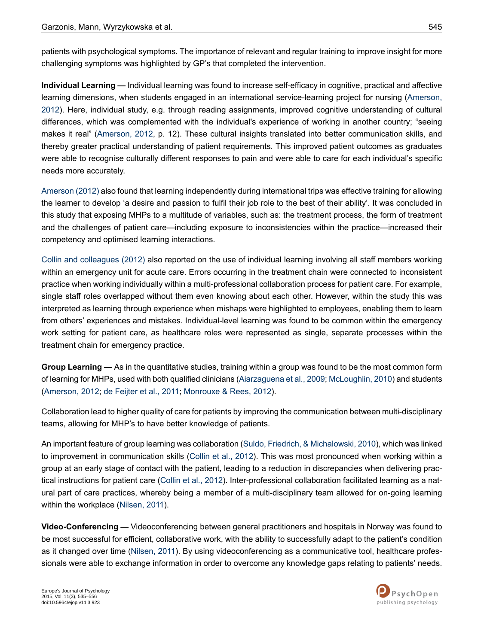patients with psychological symptoms. The importance of relevant and regular training to improve insight for more challenging symptoms was highlighted by GP's that completed the intervention.

**Individual Learning —** Individual learning was found to increase self-efficacy in cognitive, practical and affective learning dimensions, when students engaged in an international service-learning project for nursing [\(Amerson,](#page-15-3) [2012](#page-15-3)). Here, individual study, e.g. through reading assignments, improved cognitive understanding of cultural differences, which was complemented with the individual's experience of working in another country; "seeing makes it real" ([Amerson,](#page-15-3) 2012, p. 12). These cultural insights translated into better communication skills, and thereby greater practical understanding of patient requirements. This improved patient outcomes as graduates were able to recognise culturally different responses to pain and were able to care for each individual's specific needs more accurately.

[Amerson](#page-15-3) (2012) also found that learning independently during international trips was effective training for allowing the learner to develop 'a desire and passion to fulfil their job role to the best of their ability'. It was concluded in this study that exposing MHPs to a multitude of variables, such as: the treatment process, the form of treatment and the challenges of patient care—including exposure to inconsistencies within the practice—increased their competency and optimised learning interactions.

Collin and [colleagues](#page-16-10) (2012) also reported on the use of individual learning involving all staff members working within an emergency unit for acute care. Errors occurring in the treatment chain were connected to inconsistent practice when working individually within a multi-professional collaboration process for patient care. For example, single staff roles overlapped without them even knowing about each other. However, within the study this was interpreted as learning through experience when mishaps were highlighted to employees, enabling them to learn from others' experiences and mistakes. Individual-level learning was found to be common within the emergency work setting for patient care, as healthcare roles were represented as single, separate processes within the treatment chain for emergency practice.

**Group Learning —** As in the quantitative studies, training within a group was found to be the most common form of learning for MHPs, used with both qualified clinicians [\(Aiarzaguena](#page-15-2) et al., 2009; [McLoughlin,](#page-18-6) 2010) and students [\(Amerson,](#page-15-3) 2012; de [Feijter](#page-16-11) et al., 2011; [Monrouxe](#page-18-7) & Rees, 2012).

Collaboration lead to higher quality of care for patients by improving the communication between multi-disciplinary teams, allowing for MHP's to have better knowledge of patients.

An important feature of group learning was collaboration (Suldo, Friedrich, & [Michalowski,](#page-18-12) 2010), which was linked to improvement in communication skills [\(Collin](#page-16-10) et al., 2012). This was most pronounced when working within a group at an early stage of contact with the patient, leading to a reduction in discrepancies when delivering practical instructions for patient care [\(Collin](#page-16-10) et al., 2012). Inter-professional collaboration facilitated learning as a natural part of care practices, whereby being a member of a multi-disciplinary team allowed for on-going learning within the workplace [\(Nilsen,](#page-18-8) 2011).

**Video-Conferencing —** Videoconferencing between general practitioners and hospitals in Norway was found to be most successful for efficient, collaborative work, with the ability to successfully adapt to the patient's condition as it changed over time [\(Nilsen,](#page-18-8) 2011). By using videoconferencing as a communicative tool, healthcare professionals were able to exchange information in order to overcome any knowledge gaps relating to patients' needs.

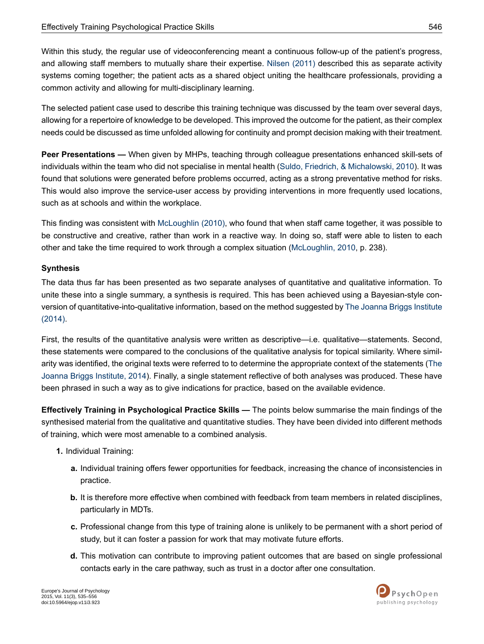Within this study, the regular use of videoconferencing meant a continuous follow-up of the patient's progress, and allowing staff members to mutually share their expertise. Nilsen [\(2011\)](#page-18-8) described this as separate activity systems coming together; the patient acts as a shared object uniting the healthcare professionals, providing a common activity and allowing for multi-disciplinary learning.

The selected patient case used to describe this training technique was discussed by the team over several days, allowing for a repertoire of knowledge to be developed. This improved the outcome for the patient, as their complex needs could be discussed as time unfolded allowing for continuity and prompt decision making with their treatment.

**Peer Presentations —** When given by MHPs, teaching through colleague presentations enhanced skill-sets of individuals within the team who did not specialise in mental health (Suldo, Friedrich, & [Michalowski,](#page-18-12) 2010). It was found that solutions were generated before problems occurred, acting as a strong preventative method for risks. This would also improve the service-user access by providing interventions in more frequently used locations, such as at schools and within the workplace.

This finding was consistent with [McLoughlin](#page-18-6) (2010), who found that when staff came together, it was possible to be constructive and creative, rather than work in a reactive way. In doing so, staff were able to listen to each other and take the time required to work through a complex situation ([McLoughlin,](#page-18-6) 2010, p. 238).

#### **Synthesis**

The data thus far has been presented as two separate analyses of quantitative and qualitative information. To unite these into a single summary, a synthesis is required. This has been achieved using a Bayesian-style conversion of quantitative-into-qualitative information, based on the method suggested by The Joanna Briggs [Institute](#page-17-5) [\(2014\).](#page-17-5)

First, the results of the quantitative analysis were written as descriptive—i.e. qualitative—statements. Second, these statements were compared to the conclusions of the qualitative analysis for topical similarity. Where similarity was identified, the original texts were referred to to determine the appropriate context of the statements [\(The](#page-17-5) Joanna Briggs [Institute,](#page-17-5) 2014). Finally, a single statement reflective of both analyses was produced. These have been phrased in such a way as to give indications for practice, based on the available evidence.

**Effectively Training in Psychological Practice Skills —** The points below summarise the main findings of the synthesised material from the qualitative and quantitative studies. They have been divided into different methods of training, which were most amenable to a combined analysis.

- **1.** Individual Training:
	- **a.** Individual training offers fewer opportunities for feedback, increasing the chance of inconsistencies in practice.
	- **b.** It is therefore more effective when combined with feedback from team members in related disciplines, particularly in MDTs.
	- **c.** Professional change from this type of training alone is unlikely to be permanent with a short period of study, but it can foster a passion for work that may motivate future efforts.
	- **d.** This motivation can contribute to improving patient outcomes that are based on single professional contacts early in the care pathway, such as trust in a doctor after one consultation.

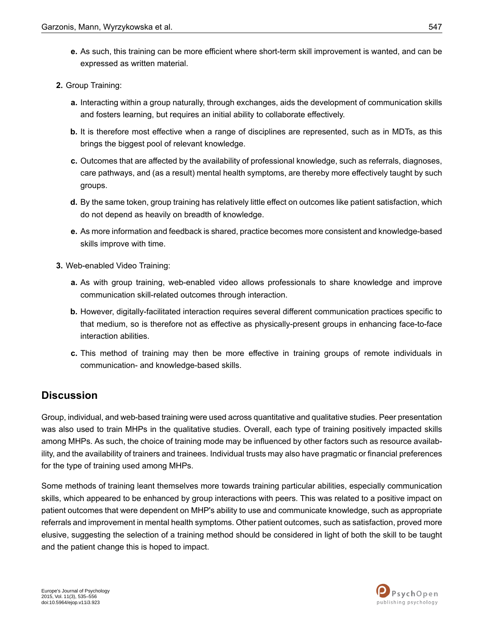- **e.** As such, this training can be more efficient where short-term skill improvement is wanted, and can be expressed as written material.
- **2.** Group Training:
	- **a.** Interacting within a group naturally, through exchanges, aids the development of communication skills and fosters learning, but requires an initial ability to collaborate effectively.
	- **b.** It is therefore most effective when a range of disciplines are represented, such as in MDTs, as this brings the biggest pool of relevant knowledge.
	- **c.** Outcomes that are affected by the availability of professional knowledge, such as referrals, diagnoses, care pathways, and (as a result) mental health symptoms, are thereby more effectively taught by such groups.
	- **d.** By the same token, group training has relatively little effect on outcomes like patient satisfaction, which do not depend as heavily on breadth of knowledge.
	- **e.** As more information and feedback is shared, practice becomes more consistent and knowledge-based skills improve with time.
- **3.** Web-enabled Video Training:
	- **a.** As with group training, web-enabled video allows professionals to share knowledge and improve communication skill-related outcomes through interaction.
	- **b.** However, digitally-facilitated interaction requires several different communication practices specific to that medium, so is therefore not as effective as physically-present groups in enhancing face-to-face interaction abilities.
	- **c.** This method of training may then be more effective in training groups of remote individuals in communication- and knowledge-based skills.

# **Discussion**

Group, individual, and web-based training were used across quantitative and qualitative studies. Peer presentation was also used to train MHPs in the qualitative studies. Overall, each type of training positively impacted skills among MHPs. As such, the choice of training mode may be influenced by other factors such as resource availability, and the availability of trainers and trainees. Individual trusts may also have pragmatic or financial preferences for the type of training used among MHPs.

Some methods of training leant themselves more towards training particular abilities, especially communication skills, which appeared to be enhanced by group interactions with peers. This was related to a positive impact on patient outcomes that were dependent on MHP's ability to use and communicate knowledge, such as appropriate referrals and improvement in mental health symptoms. Other patient outcomes, such as satisfaction, proved more elusive, suggesting the selection of a training method should be considered in light of both the skill to be taught and the patient change this is hoped to impact.

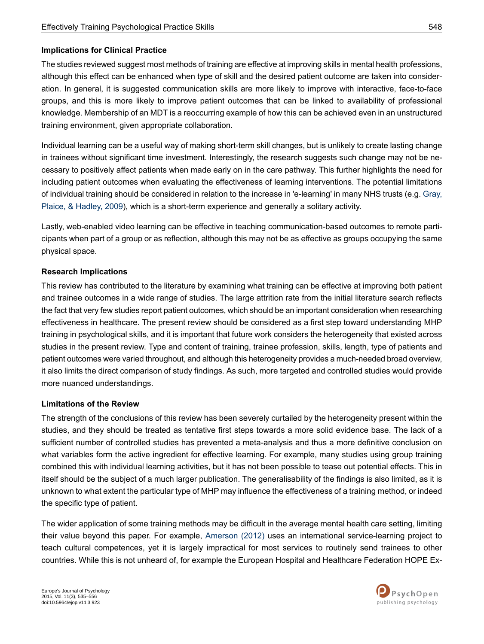#### **Implications for Clinical Practice**

The studies reviewed suggest most methods of training are effective at improving skills in mental health professions, although this effect can be enhanced when type of skill and the desired patient outcome are taken into consideration. In general, it is suggested communication skills are more likely to improve with interactive, face-to-face groups, and this is more likely to improve patient outcomes that can be linked to availability of professional knowledge. Membership of an MDT is a reoccurring example of how this can be achieved even in an unstructured training environment, given appropriate collaboration.

Individual learning can be a useful way of making short-term skill changes, but is unlikely to create lasting change in trainees without significant time investment. Interestingly, the research suggests such change may not be necessary to positively affect patients when made early on in the care pathway. This further highlights the need for including patient outcomes when evaluating the effectiveness of learning interventions. The potential limitations of individual training should be considered in relation to the increase in 'e-learning' in many NHS trusts (e.g. [Gray,](#page-17-13) Plaice, & [Hadley,](#page-17-13) 2009), which is a short-term experience and generally a solitary activity.

Lastly, web-enabled video learning can be effective in teaching communication-based outcomes to remote participants when part of a group or as reflection, although this may not be as effective as groups occupying the same physical space.

#### **Research Implications**

This review has contributed to the literature by examining what training can be effective at improving both patient and trainee outcomes in a wide range of studies. The large attrition rate from the initial literature search reflects the fact that very few studies report patient outcomes, which should be an important consideration when researching effectiveness in healthcare. The present review should be considered as a first step toward understanding MHP training in psychological skills, and it is important that future work considers the heterogeneity that existed across studies in the present review. Type and content of training, trainee profession, skills, length, type of patients and patient outcomes were varied throughout, and although this heterogeneity provides a much-needed broad overview, it also limits the direct comparison of study findings. As such, more targeted and controlled studies would provide more nuanced understandings.

#### **Limitations of the Review**

The strength of the conclusions of this review has been severely curtailed by the heterogeneity present within the studies, and they should be treated as tentative first steps towards a more solid evidence base. The lack of a sufficient number of controlled studies has prevented a meta-analysis and thus a more definitive conclusion on what variables form the active ingredient for effective learning. For example, many studies using group training combined this with individual learning activities, but it has not been possible to tease out potential effects. This in itself should be the subject of a much larger publication. The generalisability of the findings is also limited, as it is unknown to what extent the particular type of MHP may influence the effectiveness of a training method, or indeed the specific type of patient.

The wider application of some training methods may be difficult in the average mental health care setting, limiting their value beyond this paper. For example, [Amerson](#page-15-3) (2012) uses an international service-learning project to teach cultural competences, yet it is largely impractical for most services to routinely send trainees to other countries. While this is not unheard of, for example the European Hospital and Healthcare Federation HOPE Ex-

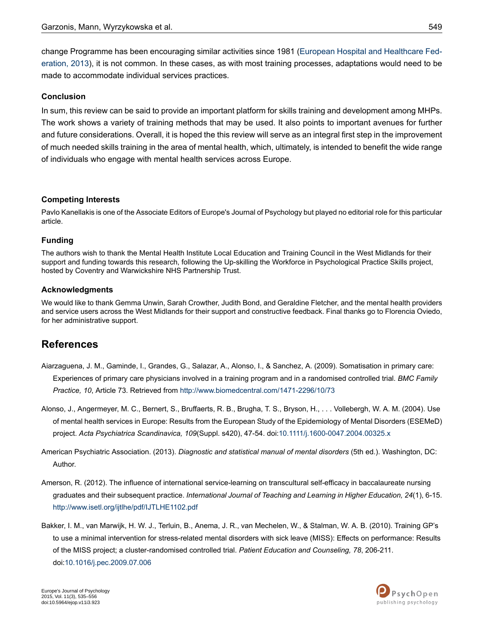change Programme has been encouraging similar activities since 1981 (European Hospital and [Healthcare](#page-16-14) Fed[eration,](#page-16-14) 2013), it is not common. In these cases, as with most training processes, adaptations would need to be made to accommodate individual services practices.

#### **Conclusion**

In sum, this review can be said to provide an important platform for skills training and development among MHPs. The work shows a variety of training methods that may be used. It also points to important avenues for further and future considerations. Overall, it is hoped the this review will serve as an integral first step in the improvement of much needed skills training in the area of mental health, which, ultimately, is intended to benefit the wide range of individuals who engage with mental health services across Europe.

## **Competing Interests**

Pavlo Kanellakis is one of the Associate Editors of Europe's Journal of Psychology but played no editorial role for this particular article.

## **Funding**

The authors wish to thank the Mental Health Institute Local Education and Training Council in the West Midlands for their support and funding towards this research, following the Up-skilling the Workforce in Psychological Practice Skills project, hosted by Coventry and Warwickshire NHS Partnership Trust.

## **Acknowledgments**

We would like to thank Gemma Unwin, Sarah Crowther, Judith Bond, and Geraldine Fletcher, and the mental health providers and service users across the West Midlands for their support and constructive feedback. Final thanks go to Florencia Oviedo, for her administrative support.

## <span id="page-15-2"></span>**References**

- <span id="page-15-1"></span>Aiarzaguena, J. M., Gaminde, I., Grandes, G., Salazar, A., Alonso, I., & Sanchez, A. (2009). Somatisation in primary care: Experiences of primary care physicians involved in a training program and in a randomised controlled trial. *BMC Family Practice, 10*, Article 73. Retrieved from <http://www.biomedcentral.com/1471-2296/10/73>
- <span id="page-15-0"></span>Alonso, J., Angermeyer, M. C., Bernert, S., Bruffaerts, R. B., Brugha, T. S., Bryson, H., . . . Vollebergh, W. A. M. (2004). Use of mental health services in Europe: Results from the European Study of the Epidemiology of Mental Disorders (ESEMeD) project. *Acta Psychiatrica Scandinavica, 109*(Suppl. s420), 47-54. doi[:10.1111/j.1600-0047.2004.00325.x](http://dx.doi.org/10.1111/j.1600-0047.2004.00325.x)
- <span id="page-15-3"></span>American Psychiatric Association. (2013). *Diagnostic and statistical manual of mental disorders* (5th ed.). Washington, DC: Author.
- <span id="page-15-4"></span>Amerson, R. (2012). The influence of international service-learning on transcultural self-efficacy in baccalaureate nursing graduates and their subsequent practice. *International Journal of Teaching and Learning in Higher Education, 24*(1), 6-15. <http://www.isetl.org/ijtlhe/pdf/IJTLHE1102.pdf>
- Bakker, I. M., van Marwijk, H. W. J., Terluin, B., Anema, J. R., van Mechelen, W., & Stalman, W. A. B. (2010). Training GP's to use a minimal intervention for stress-related mental disorders with sick leave (MISS): Effects on performance: Results of the MISS project; a cluster-randomised controlled trial. *Patient Education and Counseling, 78*, 206-211. doi:[10.1016/j.pec.2009.07.006](http://dx.doi.org/10.1016/j.pec.2009.07.006)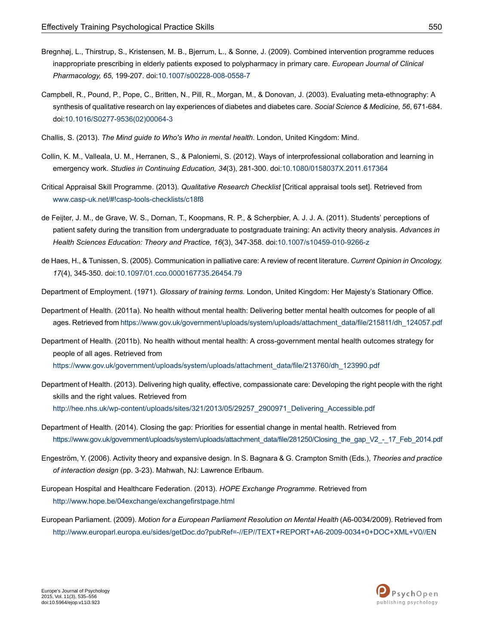- <span id="page-16-9"></span>Bregnhøj, L., Thirstrup, S., Kristensen, M. B., Bjerrum, L., & Sonne, J. (2009). Combined intervention programme reduces inappropriate prescribing in elderly patients exposed to polypharmacy in primary care. *European Journal of Clinical Pharmacology, 65*, 199-207. doi:[10.1007/s00228-008-0558-7](http://dx.doi.org/10.1007/s00228-008-0558-7)
- <span id="page-16-12"></span>Campbell, R., Pound, P., Pope, C., Britten, N., Pill, R., Morgan, M., & Donovan, J. (2003). Evaluating meta-ethnography: A synthesis of qualitative research on lay experiences of diabetes and diabetes care. *Social Science & Medicine, 56*, 671-684. doi:[10.1016/S0277-9536\(02\)00064-3](http://dx.doi.org/10.1016/S0277-9536(02)00064-3)
- <span id="page-16-10"></span><span id="page-16-5"></span>Challis, S. (2013). *The Mind guide to Who's Who in mental health*. London, United Kingdom: Mind.
- <span id="page-16-4"></span>Collin, K. M., Valleala, U. M., Herranen, S., & Paloniemi, S. (2012). Ways of interprofessional collaboration and learning in emergency work. *Studies in Continuing Education, 34*(3), 281-300. doi[:10.1080/0158037X.2011.617364](http://dx.doi.org/10.1080/0158037X.2011.617364)
- <span id="page-16-11"></span>Critical Appraisal Skill Programme. (2013). *Qualitative Research Checklist* [Critical appraisal tools set]. Retrieved from [www.casp-uk.net/#!casp-tools-checklists/c18f8](http://www.casp-uk.net/#!casp-tools-checklists/c18f8)
- <span id="page-16-0"></span>de Feijter, J. M., de Grave, W. S., Dornan, T., Koopmans, R. P., & Scherpbier, A. J. J. A. (2011). Students' perceptions of patient safety during the transition from undergraduate to postgraduate training: An activity theory analysis. *Advances in Health Sciences Education: Theory and Practice, 16*(3), 347-358. doi:[10.1007/s10459-010-9266-z](http://dx.doi.org/10.1007/s10459-010-9266-z)
- <span id="page-16-3"></span>de Haes, H., & Tunissen, S. (2005). Communication in palliative care: A review of recent literature. *Current Opinion in Oncology, 17*(4), 345-350. doi:[10.1097/01.cco.0000167735.26454.79](http://dx.doi.org/10.1097/01.cco.0000167735.26454.79)
- <span id="page-16-6"></span>Department of Employment. (1971). *Glossary of training terms.* London, United Kingdom: Her Majesty's Stationary Office.
- <span id="page-16-7"></span>Department of Health. (2011a). No health without mental health: Delivering better mental health outcomes for people of all ages. Retrieved from [https://www.gov.uk/government/uploads/system/uploads/attachment\\_data/file/215811/dh\\_124057.pdf](https://www.gov.uk/government/uploads/system/uploads/attachment_data/file/215811/dh_124057.pdf)
- <span id="page-16-1"></span>Department of Health. (2011b). No health without mental health: A cross-government mental health outcomes strategy for people of all ages. Retrieved from [https://www.gov.uk/government/uploads/system/uploads/attachment\\_data/file/213760/dh\\_123990.pdf](https://www.gov.uk/government/uploads/system/uploads/attachment_data/file/213760/dh_123990.pdf)
- <span id="page-16-8"></span>Department of Health. (2013). Delivering high quality, effective, compassionate care: Developing the right people with the right skills and the right values. Retrieved from [http://hee.nhs.uk/wp-content/uploads/sites/321/2013/05/29257\\_2900971\\_Delivering\\_Accessible.pdf](http://hee.nhs.uk/wp-content/uploads/sites/321/2013/05/29257_2900971_Delivering_Accessible.pdf)
- <span id="page-16-14"></span><span id="page-16-13"></span>Department of Health. (2014). Closing the gap: Priorities for essential change in mental health. Retrieved from [https://www.gov.uk/government/uploads/system/uploads/attachment\\_data/file/281250/Closing\\_the\\_gap\\_V2\\_-\\_17\\_Feb\\_2014.pdf](https://www.gov.uk/government/uploads/system/uploads/attachment_data/file/281250/Closing_the_gap_V2_-_17_Feb_2014.pdf)
- <span id="page-16-2"></span>Engeström, Y. (2006). Activity theory and expansive design. In S. Bagnara & G. Crampton Smith (Eds.), *Theories and practice of interaction design* (pp. 3-23). Mahwah, NJ: Lawrence Erlbaum.
- European Hospital and Healthcare Federation. (2013). *HOPE Exchange Programme*. Retrieved from <http://www.hope.be/04exchange/exchangefirstpage.html>
- European Parliament. (2009). *Motion for a European Parliament Resolution on Mental Health* (A6-0034/2009). Retrieved from <http://www.europarl.europa.eu/sides/getDoc.do?pubRef=-//EP//TEXT+REPORT+A6-2009-0034+0+DOC+XML+V0//EN>

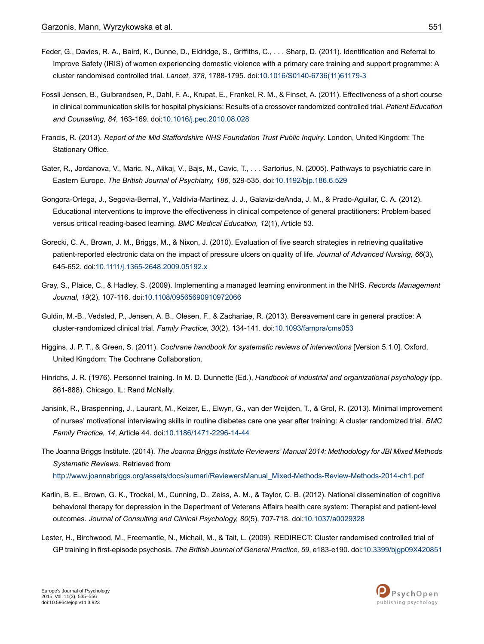- <span id="page-17-6"></span>Feder, G., Davies, R. A., Baird, K., Dunne, D., Eldridge, S., Griffiths, C., . . . Sharp, D. (2011). Identification and Referral to Improve Safety (IRIS) of women experiencing domestic violence with a primary care training and support programme: A cluster randomised controlled trial. *Lancet, 378*, 1788-1795. doi[:10.1016/S0140-6736\(11\)61179-3](http://dx.doi.org/10.1016/S0140-6736(11)61179-3)
- <span id="page-17-7"></span>Fossli Jensen, B., Gulbrandsen, P., Dahl, F. A., Krupat, E., Frankel, R. M., & Finset, A. (2011). Effectiveness of a short course in clinical communication skills for hospital physicians: Results of a crossover randomized controlled trial. *Patient Education and Counseling, 84*, 163-169. doi[:10.1016/j.pec.2010.08.028](http://dx.doi.org/10.1016/j.pec.2010.08.028)
- <span id="page-17-1"></span><span id="page-17-0"></span>Francis, R. (2013). *Report of the Mid Staffordshire NHS Foundation Trust Public Inquiry*. London, United Kingdom: The Stationary Office.
- <span id="page-17-8"></span>Gater, R., Jordanova, V., Maric, N., Alikaj, V., Bajs, M., Cavic, T., . . . Sartorius, N. (2005). Pathways to psychiatric care in Eastern Europe. *The British Journal of Psychiatry, 186*, 529-535. doi[:10.1192/bjp.186.6.529](http://dx.doi.org/10.1192/bjp.186.6.529)
- <span id="page-17-3"></span>Gongora-Ortega, J., Segovia-Bernal, Y., Valdivia-Martinez, J. J., Galaviz-deAnda, J. M., & Prado-Aguilar, C. A. (2012). Educational interventions to improve the effectiveness in clinical competence of general practitioners: Problem-based versus critical reading-based learning. *BMC Medical Education, 12*(1), Article 53.
- <span id="page-17-13"></span>Gorecki, C. A., Brown, J. M., Briggs, M., & Nixon, J. (2010). Evaluation of five search strategies in retrieving qualitative patient-reported electronic data on the impact of pressure ulcers on quality of life. *Journal of Advanced Nursing, 66*(3), 645-652. doi:[10.1111/j.1365-2648.2009.05192.x](http://dx.doi.org/10.1111/j.1365-2648.2009.05192.x)
- <span id="page-17-9"></span>Gray, S., Plaice, C., & Hadley, S. (2009). Implementing a managed learning environment in the NHS. *Records Management Journal, 19*(2), 107-116. doi:[10.1108/09565690910972066](http://dx.doi.org/10.1108/09565690910972066)
- <span id="page-17-4"></span>Guldin, M.-B., Vedsted, P., Jensen, A. B., Olesen, F., & Zachariae, R. (2013). Bereavement care in general practice: A cluster-randomized clinical trial. *Family Practice, 30*(2), 134-141. doi[:10.1093/fampra/cms053](http://dx.doi.org/10.1093/fampra/cms053)
- <span id="page-17-2"></span>Higgins, J. P. T., & Green, S. (2011). *Cochrane handbook for systematic reviews of interventions* [Version 5.1.0]. Oxford, United Kingdom: The Cochrane Collaboration.
- <span id="page-17-10"></span>Hinrichs, J. R. (1976). Personnel training. In M. D. Dunnette (Ed.), *Handbook of industrial and organizational psychology* (pp. 861-888). Chicago, IL: Rand McNally.
- <span id="page-17-5"></span>Jansink, R., Braspenning, J., Laurant, M., Keizer, E., Elwyn, G., van der Weijden, T., & Grol, R. (2013). Minimal improvement of nurses' motivational interviewing skills in routine diabetes care one year after training: A cluster randomized trial. *BMC Family Practice, 14*, Article 44. doi:[10.1186/1471-2296-14-44](http://dx.doi.org/10.1186/1471-2296-14-44)
- <span id="page-17-11"></span>The Joanna Briggs Institute. (2014). *The Joanna Briggs Institute Reviewers' Manual 2014: Methodology for JBI Mixed Methods Systematic Reviews.* Retrieved from [http://www.joannabriggs.org/assets/docs/sumari/ReviewersManual\\_Mixed-Methods-Review-Methods-2014-ch1.pdf](http://www.joannabriggs.org/assets/docs/sumari/ReviewersManual_Mixed-Methods-Review-Methods-2014-ch1.pdf)
- <span id="page-17-12"></span>Karlin, B. E., Brown, G. K., Trockel, M., Cunning, D., Zeiss, A. M., & Taylor, C. B. (2012). National dissemination of cognitive behavioral therapy for depression in the Department of Veterans Affairs health care system: Therapist and patient-level outcomes. *Journal of Consulting and Clinical Psychology, 80*(5), 707-718. doi[:10.1037/a0029328](http://dx.doi.org/10.1037/a0029328)
- Lester, H., Birchwood, M., Freemantle, N., Michail, M., & Tait, L. (2009). REDIRECT: Cluster randomised controlled trial of GP training in first-episode psychosis. *The British Journal of General Practice, 59*, e183-e190. doi:[10.3399/bjgp09X420851](http://dx.doi.org/10.3399/bjgp09X420851)

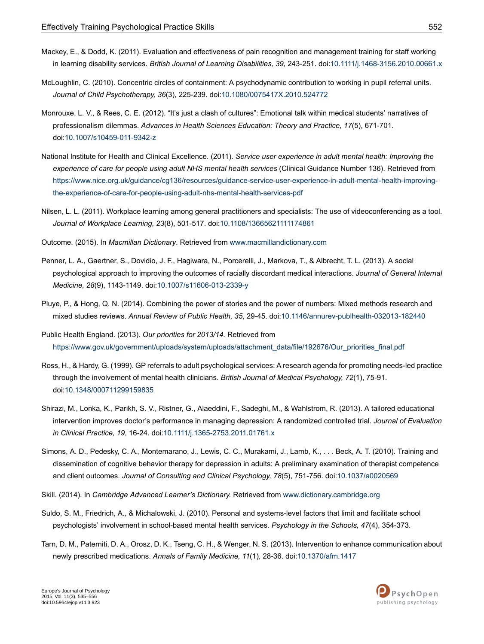- <span id="page-18-5"></span>Mackey, E., & Dodd, K. (2011). Evaluation and effectiveness of pain recognition and management training for staff working in learning disability services. *British Journal of Learning Disabilities, 39*, 243-251. doi:[10.1111/j.1468-3156.2010.00661.x](http://dx.doi.org/10.1111/j.1468-3156.2010.00661.x)
- <span id="page-18-6"></span>McLoughlin, C. (2010). Concentric circles of containment: A psychodynamic contribution to working in pupil referral units. *Journal of Child Psychotherapy, 36*(3), 225-239. doi:[10.1080/0075417X.2010.524772](http://dx.doi.org/10.1080/0075417X.2010.524772)
- <span id="page-18-7"></span>Monrouxe, L. V., & Rees, C. E. (2012). "It's just a clash of cultures": Emotional talk within medical students' narratives of professionalism dilemmas. *Advances in Health Sciences Education: Theory and Practice, 17*(5), 671-701. doi:[10.1007/s10459-011-9342-z](http://dx.doi.org/10.1007/s10459-011-9342-z)
- <span id="page-18-0"></span>National Institute for Health and Clinical Excellence. (2011). *Service user experience in adult mental health: Improving the experience of care for people using adult NHS mental health services* (Clinical Guidance Number 136). Retrieved from [https://www.nice.org.uk/guidance/cg136/resources/guidance-service-user-experience-in-adult-mental-health-improving](https://www.nice.org.uk/guidance/cg136/resources/guidance-service-user-experience-in-adult-mental-health-improving-the-experience-of-care-for-people-using-adult-nhs-mental-health-services-pdf)[the-experience-of-care-for-people-using-adult-nhs-mental-health-services-pdf](https://www.nice.org.uk/guidance/cg136/resources/guidance-service-user-experience-in-adult-mental-health-improving-the-experience-of-care-for-people-using-adult-nhs-mental-health-services-pdf)
- <span id="page-18-8"></span><span id="page-18-4"></span>Nilsen, L. L. (2011). Workplace learning among general practitioners and specialists: The use of videoconferencing as a tool. *Journal of Workplace Learning, 23*(8), 501-517. doi:[10.1108/13665621111174861](http://dx.doi.org/10.1108/13665621111174861)
- <span id="page-18-9"></span>Outcome. (2015). In *Macmillan Dictionary*. Retrieved from [www.macmillandictionary.com](http://www.macmillandictionary.com)
- <span id="page-18-2"></span>Penner, L. A., Gaertner, S., Dovidio, J. F., Hagiwara, N., Porcerelli, J., Markova, T., & Albrecht, T. L. (2013). A social psychological approach to improving the outcomes of racially discordant medical interactions. *Journal of General Internal Medicine, 28*(9), 1143-1149. doi[:10.1007/s11606-013-2339-y](http://dx.doi.org/10.1007/s11606-013-2339-y)
- <span id="page-18-3"></span>Pluye, P., & Hong, Q. N. (2014). Combining the power of stories and the power of numbers: Mixed methods research and mixed studies reviews. *Annual Review of Public Health, 35*, 29-45. doi[:10.1146/annurev-publhealth-032013-182440](http://dx.doi.org/10.1146/annurev-publhealth-032013-182440)
- <span id="page-18-14"></span>Public Health England. (2013). *Our priorities for 2013/14.* Retrieved from [https://www.gov.uk/government/uploads/system/uploads/attachment\\_data/file/192676/Our\\_priorities\\_final.pdf](https://www.gov.uk/government/uploads/system/uploads/attachment_data/file/192676/Our_priorities_final.pdf)
- <span id="page-18-10"></span>Ross, H., & Hardy, G. (1999). GP referrals to adult psychological services: A research agenda for promoting needs-led practice through the involvement of mental health clinicians. *British Journal of Medical Psychology, 72*(1), 75-91. doi:[10.1348/000711299159835](http://dx.doi.org/10.1348/000711299159835)
- <span id="page-18-11"></span>Shirazi, M., Lonka, K., Parikh, S. V., Ristner, G., Alaeddini, F., Sadeghi, M., & Wahlstrom, R. (2013). A tailored educational intervention improves doctor's performance in managing depression: A randomized controlled trial. *Journal of Evaluation in Clinical Practice, 19*, 16-24. doi[:10.1111/j.1365-2753.2011.01761.x](http://dx.doi.org/10.1111/j.1365-2753.2011.01761.x)
- <span id="page-18-12"></span><span id="page-18-1"></span>Simons, A. D., Pedesky, C. A., Montemarano, J., Lewis, C. C., Murakami, J., Lamb, K., . . . Beck, A. T. (2010). Training and dissemination of cognitive behavior therapy for depression in adults: A preliminary examination of therapist competence and client outcomes. *Journal of Consulting and Clinical Psychology, 78*(5), 751-756. doi:[10.1037/a0020569](http://dx.doi.org/10.1037/a0020569)
- <span id="page-18-13"></span>Skill. (2014). In *Cambridge Advanced Learner's Dictionary.* Retrieved from [www.dictionary.cambridge.org](http://www.dictionary.cambridge.org)
- Suldo, S. M., Friedrich, A., & Michalowski, J. (2010). Personal and systems-level factors that limit and facilitate school psychologists' involvement in school-based mental health services. *Psychology in the Schools, 47*(4), 354-373.
- Tarn, D. M., Paterniti, D. A., Orosz, D. K., Tseng, C. H., & Wenger, N. S. (2013). Intervention to enhance communication about newly prescribed medications. *Annals of Family Medicine, 11*(1), 28-36. doi:[10.1370/afm.1417](http://dx.doi.org/10.1370/afm.1417)

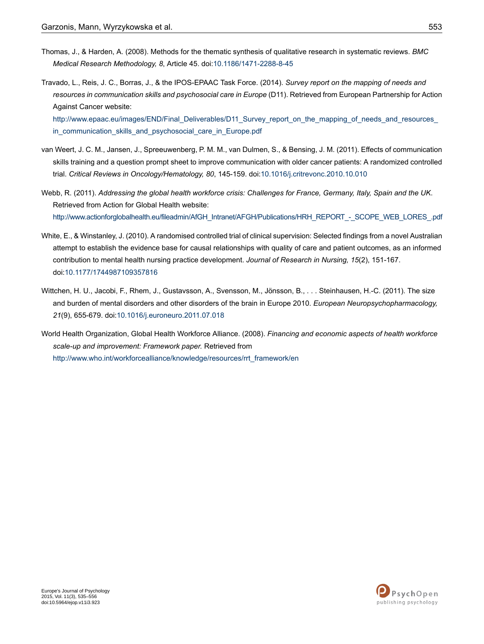- <span id="page-19-4"></span>Thomas, J., & Harden, A. (2008). Methods for the thematic synthesis of qualitative research in systematic reviews. *BMC Medical Research Methodology, 8*, Article 45. doi[:10.1186/1471-2288-8-45](http://dx.doi.org/10.1186/1471-2288-8-45)
- <span id="page-19-1"></span>Travado, L., Reis, J. C., Borras, J., & the IPOS-EPAAC Task Force. (2014). *Survey report on the mapping of needs and resources in communication skills and psychosocial care in Europe* (D11). Retrieved from European Partnership for Action Against Cancer website:

<span id="page-19-5"></span>http://www.epaac.eu/images/END/Final\_Deliverables/D11\_Survey\_report\_on\_the\_mapping\_of\_needs\_and\_resources in communication skills and psychosocial care in Europe.pdf

- van Weert, J. C. M., Jansen, J., Spreeuwenberg, P. M. M., van Dulmen, S., & Bensing, J. M. (2011). Effects of communication skills training and a question prompt sheet to improve communication with older cancer patients: A randomized controlled trial. *Critical Reviews in Oncology/Hematology, 80*, 145-159. doi:[10.1016/j.critrevonc.2010.10.010](http://dx.doi.org/10.1016/j.critrevonc.2010.10.010)
- <span id="page-19-6"></span><span id="page-19-2"></span>Webb, R. (2011). Addressing the global health workforce crisis: Challenges for France, Germany, Italy, Spain and the UK. Retrieved from Action for Global Health website: [http://www.actionforglobalhealth.eu/fileadmin/AfGH\\_Intranet/AFGH/Publications/HRH\\_REPORT\\_-\\_SCOPE\\_WEB\\_LORES\\_.pdf](http://www.actionforglobalhealth.eu/fileadmin/AfGH_Intranet/AFGH/Publications/HRH_REPORT_-_SCOPE_WEB_LORES_.pdf)
- <span id="page-19-0"></span>White, E., & Winstanley, J. (2010). A randomised controlled trial of clinical supervision: Selected findings from a novel Australian attempt to establish the evidence base for causal relationships with quality of care and patient outcomes, as an informed contribution to mental health nursing practice development. *Journal of Research in Nursing, 15*(2), 151-167. doi:[10.1177/1744987109357816](http://dx.doi.org/10.1177/1744987109357816)
- <span id="page-19-3"></span>Wittchen, H. U., Jacobi, F., Rhem, J., Gustavsson, A., Svensson, M., Jönsson, B., . . . Steinhausen, H.-C. (2011). The size and burden of mental disorders and other disorders of the brain in Europe 2010. *European Neuropsychopharmacology, 21*(9), 655-679. doi:[10.1016/j.euroneuro.2011.07.018](http://dx.doi.org/10.1016/j.euroneuro.2011.07.018)

World Health Organization, Global Health Workforce Alliance. (2008). *Financing and economic aspects of health workforce scale-up and improvement: Framework paper.* Retrieved from [http://www.who.int/workforcealliance/knowledge/resources/rrt\\_framework/en](http://www.who.int/workforcealliance/knowledge/resources/rrt_framework/en)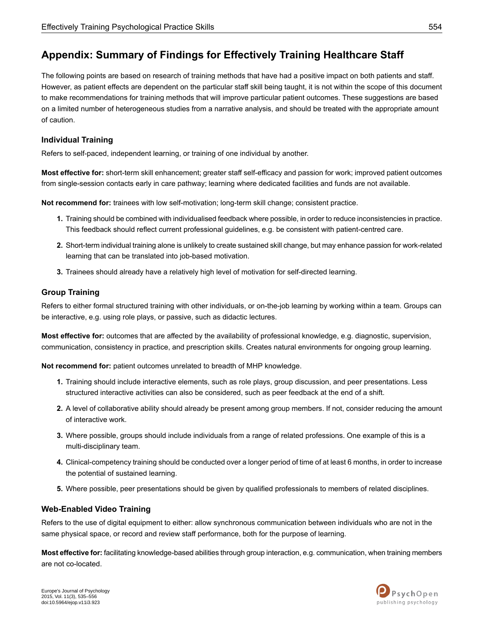# <span id="page-20-0"></span>**Appendix: Summary of Findings for Effectively Training Healthcare Staff**

The following points are based on research of training methods that have had a positive impact on both patients and staff. However, as patient effects are dependent on the particular staff skill being taught, it is not within the scope of this document to make recommendations for training methods that will improve particular patient outcomes. These suggestions are based on a limited number of heterogeneous studies from a narrative analysis, and should be treated with the appropriate amount of caution.

#### **Individual Training**

Refers to self-paced, independent learning, or training of one individual by another.

**Most effective for:** short-term skill enhancement; greater staff self-efficacy and passion for work; improved patient outcomes from single-session contacts early in care pathway; learning where dedicated facilities and funds are not available.

**Not recommend for:** trainees with low self-motivation; long-term skill change; consistent practice.

- **1.** Training should be combined with individualised feedback where possible, in order to reduce inconsistencies in practice. This feedback should reflect current professional guidelines, e.g. be consistent with patient-centred care.
- **2.** Short-term individual training alone is unlikely to create sustained skill change, but may enhance passion for work-related learning that can be translated into job-based motivation.
- **3.** Trainees should already have a relatively high level of motivation for self-directed learning.

## **Group Training**

Refers to either formal structured training with other individuals, or on-the-job learning by working within a team. Groups can be interactive, e.g. using role plays, or passive, such as didactic lectures.

**Most effective for:** outcomes that are affected by the availability of professional knowledge, e.g. diagnostic, supervision, communication, consistency in practice, and prescription skills. Creates natural environments for ongoing group learning.

**Not recommend for:** patient outcomes unrelated to breadth of MHP knowledge.

- **1.** Training should include interactive elements, such as role plays, group discussion, and peer presentations. Less structured interactive activities can also be considered, such as peer feedback at the end of a shift.
- **2.** A level of collaborative ability should already be present among group members. If not, consider reducing the amount of interactive work.
- **3.** Where possible, groups should include individuals from a range of related professions. One example of this is a multi-disciplinary team.
- **4.** Clinical-competency training should be conducted over a longer period of time of at least 6 months, in order to increase the potential of sustained learning.
- **5.** Where possible, peer presentations should be given by qualified professionals to members of related disciplines.

#### **Web-Enabled Video Training**

Refers to the use of digital equipment to either: allow synchronous communication between individuals who are not in the same physical space, or record and review staff performance, both for the purpose of learning.

**Most effective for:** facilitating knowledge-based abilities through group interaction, e.g. communication, when training members are not co-located.



Europe's Journal of Psychology 2015, Vol. 11(3), 535–556 doi:10.5964/ejop.v11i3.923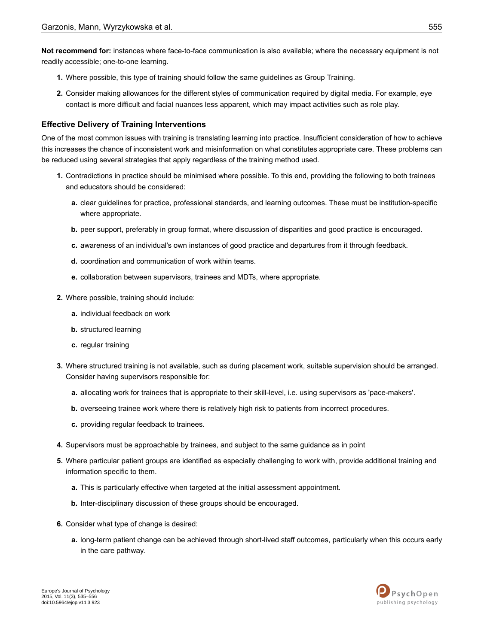- **1.** Where possible, this type of training should follow the same guidelines as Group Training.
- **2.** Consider making allowances for the different styles of communication required by digital media. For example, eye contact is more difficult and facial nuances less apparent, which may impact activities such as role play.

## **Effective Delivery of Training Interventions**

One of the most common issues with training is translating learning into practice. Insufficient consideration of how to achieve this increases the chance of inconsistent work and misinformation on what constitutes appropriate care. These problems can be reduced using several strategies that apply regardless of the training method used.

- **1.** Contradictions in practice should be minimised where possible. To this end, providing the following to both trainees and educators should be considered:
	- **a.** clear guidelines for practice, professional standards, and learning outcomes. These must be institution-specific where appropriate.
	- **b.** peer support, preferably in group format, where discussion of disparities and good practice is encouraged.
	- **c.** awareness of an individual's own instances of good practice and departures from it through feedback.
	- **d.** coordination and communication of work within teams.
	- **e.** collaboration between supervisors, trainees and MDTs, where appropriate.
- **2.** Where possible, training should include:
	- **a.** individual feedback on work
	- **b.** structured learning
	- **c.** regular training
- **3.** Where structured training is not available, such as during placement work, suitable supervision should be arranged. Consider having supervisors responsible for:
	- **a.** allocating work for trainees that is appropriate to their skill-level, i.e. using supervisors as 'pace-makers'.
	- **b.** overseeing trainee work where there is relatively high risk to patients from incorrect procedures.
	- **c.** providing regular feedback to trainees.
- **4.** Supervisors must be approachable by trainees, and subject to the same guidance as in point
- **5.** Where particular patient groups are identified as especially challenging to work with, provide additional training and information specific to them.
	- **a.** This is particularly effective when targeted at the initial assessment appointment.
	- **b.** Inter-disciplinary discussion of these groups should be encouraged.
- **6.** Consider what type of change is desired:
	- **a.** long-term patient change can be achieved through short-lived staff outcomes, particularly when this occurs early in the care pathway.